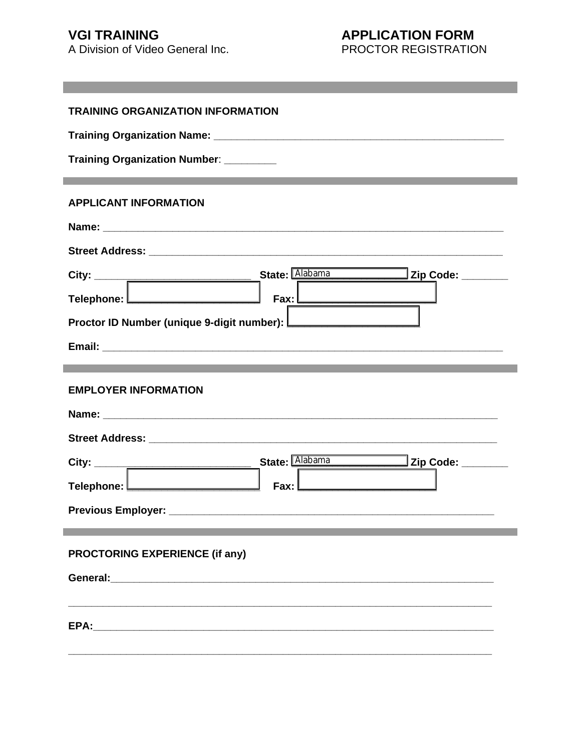# **VGI TRAINING**

٠

A Division of Video General Inc.

# **APPLICATION FORM**

PROCTOR REGISTRATION

| <b>TRAINING ORGANIZATION INFORMATION</b>                                                     |
|----------------------------------------------------------------------------------------------|
|                                                                                              |
| Training Organization Number: _________                                                      |
|                                                                                              |
| <b>APPLICANT INFORMATION</b>                                                                 |
|                                                                                              |
|                                                                                              |
|                                                                                              |
| $\mathsf{Fax}:\square$<br>Telephone: <u>Les and the manuscription</u>                        |
| Proctor ID Number (unique 9-digit number): [Calconduction ID Number (unique 9-digit number): |
|                                                                                              |
|                                                                                              |
| <b>EMPLOYER INFORMATION</b>                                                                  |
|                                                                                              |
|                                                                                              |
|                                                                                              |
| Fax: L                                                                                       |
|                                                                                              |
|                                                                                              |
| PROCTORING EXPERIENCE (if any)                                                               |
|                                                                                              |
|                                                                                              |
|                                                                                              |
|                                                                                              |